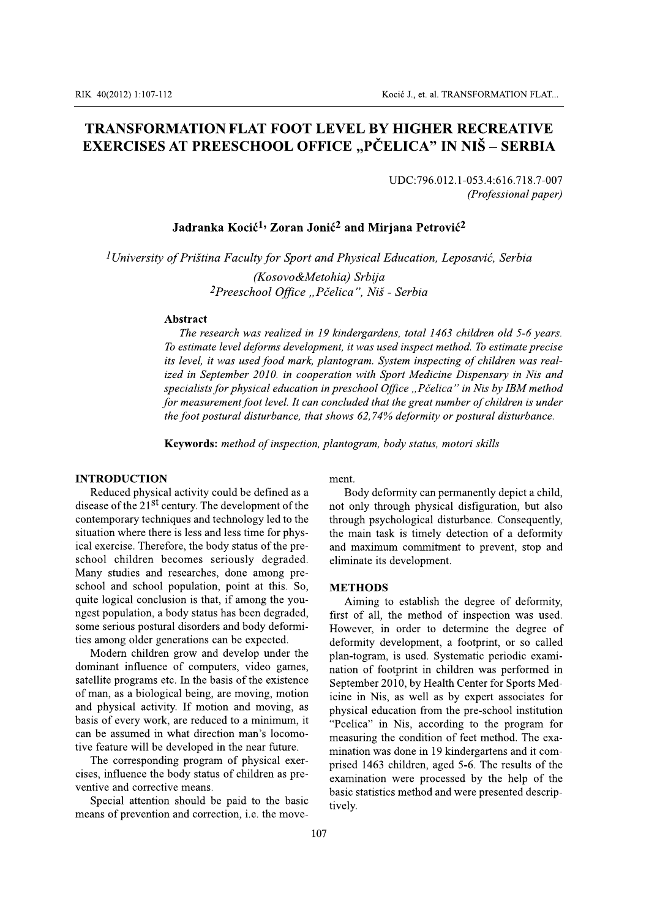# **TRANSFORMATION FLAT FOOT LEVEL BY HIGHER RECREATIVE** EXERCISES AT PREESCHOOL OFFICE "PČELICA" IN NIŠ – SERBIA

UDC:796.012.1-053.4:616.718.7-007 (Professional paper)

# Jadranka Kocić<sup>1,</sup> Zoran Jonić<sup>2</sup> and Mirjana Petrović<sup>2</sup>

<sup>1</sup>University of Priština Faculty for Sport and Physical Education, Leposavić, Serbia

(Kosovo&Metohia) Srbija <sup>2</sup>Preeschool Office "Pčelica", Niš - Serbia

### **Abstract**

The research was realized in 19 kindergardens, total 1463 children old 5-6 years. To estimate level deforms development, it was used inspect method. To estimate precise its level, it was used food mark, plantogram. System inspecting of children was realized in September 2010. in cooperation with Sport Medicine Dispensary in Nis and specialists for physical education in preschool Office "Pčelica" in Nis by IBM method for measurement foot level. It can concluded that the great number of children is under the foot postural disturbance, that shows 62,74% deformity or postural disturbance.

**Keywords:** method of inspection, plantogram, body status, motori skills

### **INTRODUCTION**

Reduced physical activity could be defined as a disease of the  $21<sup>st</sup>$  century. The development of the contemporary techniques and technology led to the situation where there is less and less time for physical exercise. Therefore, the body status of the preschool children becomes seriously degraded. Many studies and researches, done among preschool and school population, point at this. So, quite logical conclusion is that, if among the youngest population, a body status has been degraded, some serious postural disorders and body deformities among older generations can be expected.

Modern children grow and develop under the dominant influence of computers, video games, satellite programs etc. In the basis of the existence of man, as a biological being, are moving, motion and physical activity. If motion and moving, as basis of every work, are reduced to a minimum, it can be assumed in what direction man's locomotive feature will be developed in the near future.

The corresponding program of physical exercises, influence the body status of children as preventive and corrective means.

Special attention should be paid to the basic means of prevention and correction, *i.e.* the movement

Body deformity can permanently depict a child, not only through physical disfiguration, but also through psychological disturbance. Consequently, the main task is timely detection of a deformity and maximum commitment to prevent, stop and eliminate its development.

### **METHODS**

Aiming to establish the degree of deformity, first of all, the method of inspection was used. However, in order to determine the degree of deformity development, a footprint, or so called plan-togram, is used. Systematic periodic examination of footprint in children was performed in September 2010, by Health Center for Sports Medicine in Nis, as well as by expert associates for physical education from the pre-school institution "Peelica" in Nis, according to the program for measuring the condition of feet method. The examination was done in 19 kindergartens and it comprised 1463 children, aged 5-6. The results of the examination were processed by the help of the basic statistics method and were presented descriptively.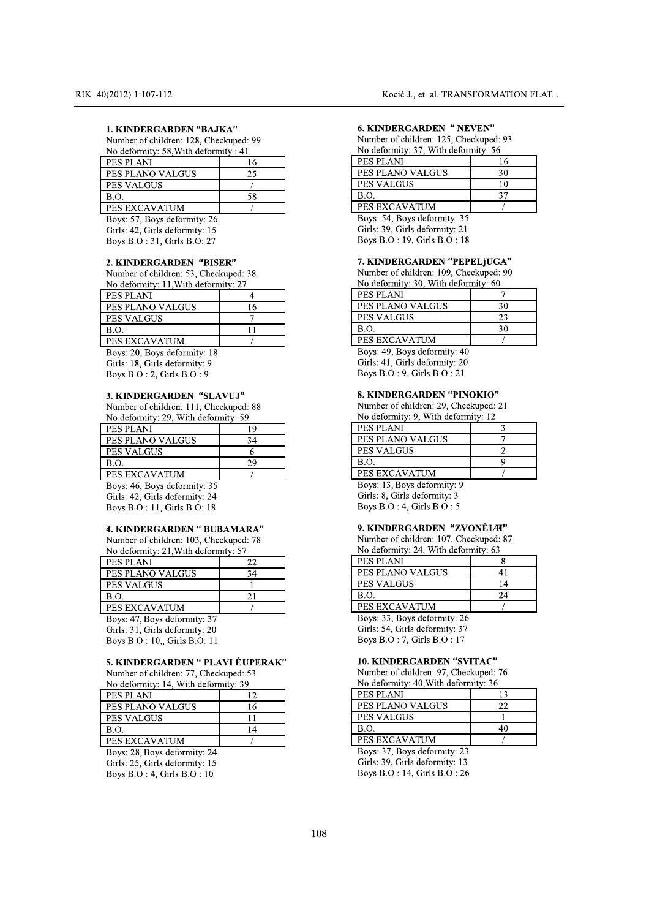| RIK 40(2012) 1:107-112                 |        | Kocić J., et. al. TRANSF       |
|----------------------------------------|--------|--------------------------------|
| <b>1. KINDERGARDEN "BAJKA"</b>         |        | <b>6. KINDERGARDEN " NEV</b>   |
| Number of children: 128, Checkuped: 99 |        | Number of children: 125, Chec  |
| No deformity: 58, With deformity: 41   |        | No deformity: 37, With deform  |
| PES PLANI                              | 16     | <b>PES PLANI</b>               |
| PES PLANO VALGUS                       | 25     | PES PLANO VALGUS               |
| <b>PES VALGUS</b>                      |        | <b>PES VALGUS</b>              |
| <b>B.O.</b>                            | 58     | B.O.                           |
| PES EXCAVATUM                          |        | PES EXCAVATUM                  |
| Boys: 57, Boys deformity: 26           |        | Boys: 54, Boys deformity: 35   |
| Girls: 42, Girls deformity: 15         |        | Girls: 39, Girls deformity: 21 |
| Boys B.O : 31, Girls B.O: 27           |        | Boys B.O : 19, Girls B.O : 18  |
| 2. KINDERGARDEN "BISER"                |        | <b>7. KINDERGARDEN "PEPE</b>   |
| Number of children: 53, Checkuped: 38  |        | Number of children: 109, Chec  |
| No deformity: 11, With deformity: 27   |        | No deformity: 30, With deform  |
| <b>PES PLANI</b>                       | 4      | PES PLANI                      |
| PES PLANO VALGUS                       | 16     | PES PLANO VALGUS               |
| <b>PES VALGUS</b>                      | $\tau$ | <b>PES VALGUS</b>              |
| B.O.                                   | 11     | <b>B.O.</b>                    |
|                                        |        | <b>DECEMBER 1974 FOUR E</b>    |

| PES PLANI                              | 16             |
|----------------------------------------|----------------|
| PES PLANO VALGUS                       | 25             |
| <b>PES VALGUS</b>                      |                |
| <b>B.O.</b>                            | 58             |
| <b>PES EXCAVATUM</b>                   |                |
| Boys: 57, Boys deformity: 26           |                |
| Girls: 42, Girls deformity: 15         |                |
| Boys B.O : 31, Girls B.O: 27           |                |
| 2. KINDERGARDEN "BISER"                |                |
| Number of children: 53, Checkuped: 38  |                |
| No deformity: 11, With deformity: 27   |                |
| PES PLANI                              | 4              |
| PES PLANO VALGUS                       | 16             |
| PES VALGUS                             | $\overline{7}$ |
| <b>B.O.</b>                            | 11             |
| PES EXCAVATUM                          |                |
| Boys: 20, Boys deformity: 18           |                |
| Girls: 18, Girls deformity: 9          |                |
| Boys $B.O:2$ , Girls $B.O:9$           |                |
| <b>3. KINDERGARDEN "SLAVUJ"</b>        |                |
| Number of children: 111, Checkuped: 88 |                |
| No deformity: 29, With deformity: 59   |                |
| PES PLANI                              | 19             |
| PES PLANO VALGUS                       | 34             |
| <b>PES VALGUS</b>                      | 6              |
| <b>B.O.</b>                            | 29             |
|                                        |                |

| PES PLANI                              | 4  |  |
|----------------------------------------|----|--|
| PES PLANO VALGUS                       | 16 |  |
| <b>PES VALGUS</b>                      | 7  |  |
| <b>B.O.</b>                            | 11 |  |
| PES EXCAVATUM                          |    |  |
| Boys: 20, Boys deformity: 18           |    |  |
| Girls: 18, Girls deformity: 9          |    |  |
| Boys B.O : 2, Girls B.O : 9            |    |  |
| <b>3. KINDERGARDEN "SLAVUJ"</b>        |    |  |
| Number of children: 111, Checkuped: 88 |    |  |
| No deformity: 29, With deformity: 59   |    |  |
| PES PLANI                              | 19 |  |
| PES PLANO VALGUS                       | 34 |  |
| <b>PES VALGUS</b>                      | 6  |  |
| <b>B.O.</b>                            | 29 |  |
| PES EXCAVATUM                          |    |  |
| Boys: 46, Boys deformity: 35           |    |  |
| Girls: 42, Girls deformity: 24         |    |  |
| Boys B.O : 11, Girls B.O: 18           |    |  |
| <b>4. KINDERGARDEN " BUBAMARA"</b>     |    |  |
| Number of children: 103, Checkuped: 78 |    |  |
| No deformity: 21, With deformity: 57   |    |  |
| <b>PES PLANI</b>                       | 22 |  |
| PES PLANO VALGUS                       | 34 |  |
| <b>PES VALGUS</b>                      | 1  |  |
| <b>B.O.</b>                            | 21 |  |
|                                        |    |  |

| PES PLANI                              | 19 |
|----------------------------------------|----|
| PES PLANO VALGUS                       | 34 |
| <b>PES VALGUS</b>                      | 6  |
| <b>B.O.</b>                            | 29 |
| <b>PES EXCAVATUM</b>                   |    |
| Boys: 46, Boys deformity: 35           |    |
| Girls: 42, Girls deformity: 24         |    |
| Boys B.O : 11, Girls B.O: 18           |    |
| <b>4. KINDERGARDEN " BUBAMARA"</b>     |    |
| Number of children: 103, Checkuped: 78 |    |
| No deformity: 21, With deformity: 57   |    |
| <b>PES PLANI</b>                       | 22 |
| PES PLANO VALGUS                       | 34 |
| <b>PES VALGUS</b>                      |    |
| B.O.                                   | 21 |
| <b>PES EXCAVATUM</b>                   |    |
| Boys: 47, Boys deformity: 37           |    |
| Girls: 31, Girls deformity: 20         |    |
| Boys B.O: 10, Girls B.O: 11            |    |
| 5. KINDERGARDEN " PLAVI ÈUPERAK"       |    |
| Number of children: 77, Checkuped: 53  |    |
| No deformity: 14, With deformity: 39   |    |
| PES PLANI                              | 12 |
| PES PLANO VALGUS                       | 16 |
| <b>PES VALGUS</b>                      | 11 |
| B.O.                                   | 14 |
|                                        |    |

| 34<br>1<br>21<br>5. KINDERGARDEN " PLAVI ÈUPERAK"<br>Number of children: 77, Checkuped: 53<br>No deformity: 14, With deformity: 39<br>12<br>16 | <b>PESP</b><br><b>PES V</b><br><b>B.O.</b><br><b>PESE</b><br>Boys:<br>Girls:<br>Boys 1<br>10. K<br>Numb<br>No de |
|------------------------------------------------------------------------------------------------------------------------------------------------|------------------------------------------------------------------------------------------------------------------|
|                                                                                                                                                |                                                                                                                  |
|                                                                                                                                                |                                                                                                                  |
|                                                                                                                                                |                                                                                                                  |
|                                                                                                                                                |                                                                                                                  |
|                                                                                                                                                |                                                                                                                  |
|                                                                                                                                                |                                                                                                                  |
|                                                                                                                                                |                                                                                                                  |
|                                                                                                                                                |                                                                                                                  |
|                                                                                                                                                |                                                                                                                  |
|                                                                                                                                                |                                                                                                                  |
|                                                                                                                                                | <b>PESP</b>                                                                                                      |
|                                                                                                                                                | <b>PESP</b>                                                                                                      |
| 11                                                                                                                                             | PES <sub>V</sub>                                                                                                 |
| 14                                                                                                                                             | B.O.                                                                                                             |
|                                                                                                                                                | <b>PESE</b>                                                                                                      |
|                                                                                                                                                | Boys:                                                                                                            |
|                                                                                                                                                | Girls:                                                                                                           |
|                                                                                                                                                | Boys 1                                                                                                           |
|                                                                                                                                                |                                                                                                                  |
|                                                                                                                                                |                                                                                                                  |
|                                                                                                                                                |                                                                                                                  |
|                                                                                                                                                |                                                                                                                  |
|                                                                                                                                                | 108                                                                                                              |

| Kocić J., et. al. TRANSFORMATION FLAT  |    |  |
|----------------------------------------|----|--|
|                                        |    |  |
|                                        |    |  |
| <b>6. KINDERGARDEN " NEVEN"</b>        |    |  |
| Number of children: 125, Checkuped: 93 |    |  |
| No deformity: 37, With deformity: 56   |    |  |
| <b>PES PLANI</b>                       | 16 |  |
| PES PLANO VALGUS                       | 30 |  |
| <b>PES VALGUS</b>                      | 10 |  |
| B.O.                                   | 37 |  |
| <b>PES EXCAVATUM</b>                   |    |  |
| Boys: 54, Boys deformity: 35           |    |  |
| Girls: 39, Girls deformity: 21         |    |  |
| Boys B.O : 19, Girls B.O : 18          |    |  |
|                                        |    |  |
| 7. KINDERGARDEN "PEPELJUGA"            |    |  |
| Number of children: 109, Checkuped: 90 |    |  |
| No deformity: 30, With deformity: 60   |    |  |
| PES PLANI                              | 7  |  |
| PES PLANO VALGUS                       | 30 |  |
| <b>PES VALGUS</b>                      | 23 |  |
| <b>B.O.</b>                            | 30 |  |
|                                        |    |  |

| PES PLANI                              | 16             |
|----------------------------------------|----------------|
| PES PLANO VALGUS                       | 30             |
| PES VALGUS                             | 10             |
| <b>B.O.</b>                            | 37             |
| PES EXCAVATUM                          |                |
| Boys: 54, Boys deformity: 35           |                |
| Girls: 39, Girls deformity: 21         |                |
| Boys B.O : 19, Girls B.O : 18          |                |
| 7. KINDERGARDEN "PEPELjUGA"            |                |
| Number of children: 109, Checkuped: 90 |                |
| No deformity: 30, With deformity: 60   |                |
| PES PLANI                              | 7              |
| PES PLANO VALGUS                       | 30             |
| <b>PES VALGUS</b>                      | 23             |
| B.O.                                   | 30             |
| PES EXCAVATUM                          |                |
| Boys: 49, Boys deformity: 40           |                |
| Girls: 41, Girls deformity: 20         |                |
| Boys B.O : 9, Girls B.O : 21           |                |
| 8. KINDERGARDEN "PINOKIO"              |                |
| Number of children: 29, Checkuped: 21  |                |
| No deformity: 9, With deformity: 12    |                |
| PES PLANI                              | 3              |
| PES PLANO VALGUS                       | 7              |
| <b>PES VALGUS</b>                      | $\overline{c}$ |
| <b>B.O.</b>                            | 9              |
|                                        |                |

| PES PLANI                              |                |
|----------------------------------------|----------------|
| PES PLANO VALGUS                       | 30             |
| <b>PES VALGUS</b>                      | 23             |
| B.O.                                   | 30             |
| PES EXCAVATUM                          |                |
| Boys: 49, Boys deformity: 40           |                |
| Girls: 41, Girls deformity: 20         |                |
| Boys B.O : 9, Girls B.O : 21           |                |
| 8. KINDERGARDEN "PINOKIO"              |                |
| Number of children: 29, Checkuped: 21  |                |
| No deformity: 9, With deformity: 12    |                |
| PES PLANI                              | 3              |
| PES PLANO VALGUS                       | 7              |
| <b>PES VALGUS</b>                      | $\overline{2}$ |
| B.O.                                   | 9              |
| PES EXCAVATUM                          |                |
| Boys: 13, Boys deformity: 9            |                |
| Girls: 8, Girls deformity: 3           |                |
| Boys $B.O:4$ , Girls $B.O:5$           |                |
| 9. KINDERGARDEN "ZVONÈLAI"             |                |
| Number of children: 107, Checkuped: 87 |                |
| No deformity: 24, With deformity: 63   |                |
| <b>PES PLANI</b>                       | 8              |
| PES PLANO VALGUS                       | 41             |
| <b>PES VALGUS</b>                      | 14             |
| B.O.                                   | 24             |
|                                        |                |

|      | PES PLANI                                         | 3              |
|------|---------------------------------------------------|----------------|
|      | PES PLANO VALGUS                                  | $\overline{7}$ |
|      | <b>PES VALGUS</b>                                 | $\overline{2}$ |
|      | <b>B.O.</b>                                       | 9              |
|      | PES EXCAVATUM                                     |                |
|      | Boys: 13, Boys deformity: 9                       |                |
|      | Girls: 8, Girls deformity: 3                      |                |
|      | Boys B.O : 4, Girls B.O : 5                       |                |
|      |                                                   |                |
|      | 9. KINDERGARDEN "ZVONÈLAI"                        |                |
|      | Number of children: 107, Checkuped: 87            |                |
|      | No deformity: 24, With deformity: 63              |                |
|      | <b>PES PLANI</b>                                  | 8              |
|      | PES PLANO VALGUS                                  | 41             |
|      | <b>PES VALGUS</b>                                 | 14             |
|      | <b>B.O.</b>                                       | 24             |
|      | <b>PES EXCAVATUM</b>                              |                |
|      | Boys: 33, Boys deformity: 26                      |                |
|      | Girls: 54, Girls deformity: 37                    |                |
|      | Boys B.O : 7, Girls B.O : 17                      |                |
|      |                                                   |                |
| RAK" | <b>10. KINDERGARDEN "SVITAC"</b>                  |                |
|      | Number of children: 97, Checkuped: 76             |                |
|      | No deformity: 40, With deformity: 36<br>PES PLANI | 13             |
|      |                                                   |                |
|      | PES PLANO VALGUS                                  | 22             |
|      | <b>PES VALGUS</b>                                 | 1              |
|      | B.O.                                              | 40             |
|      | <b>PES EXCAVATUM</b>                              |                |
|      | Boys: 37, Boys deformity: 23                      |                |

|      | PES VALGUS                            | 14 |
|------|---------------------------------------|----|
|      | B.O.                                  | 24 |
|      | PES EXCAVATUM                         |    |
|      | Boys: 33, Boys deformity: 26          |    |
|      | Girls: 54, Girls deformity: 37        |    |
|      | Boys B.O : 7, Girls B.O : 17          |    |
| RAK" | <b>10. KINDERGARDEN "SVITAC"</b>      |    |
|      | Number of children: 97, Checkuped: 76 |    |
|      | No deformity: 40, With deformity: 36  |    |
|      | PES PLANI                             | 13 |
|      | PES PLANO VALGUS                      | 22 |
|      | <b>PES VALGUS</b>                     | 1  |
|      | <b>B.O.</b>                           | 40 |
|      | PES EXCAVATUM                         |    |
|      | Boys: 37, Boys deformity: 23          |    |
|      | Girls: 39, Girls deformity: 13        |    |
|      | Boys B.O : 14, Girls B.O : 26         |    |
|      |                                       |    |
|      |                                       |    |
|      |                                       |    |
|      |                                       |    |
| 108  |                                       |    |
|      |                                       |    |
|      |                                       |    |
|      |                                       |    |

FES EXCAVATU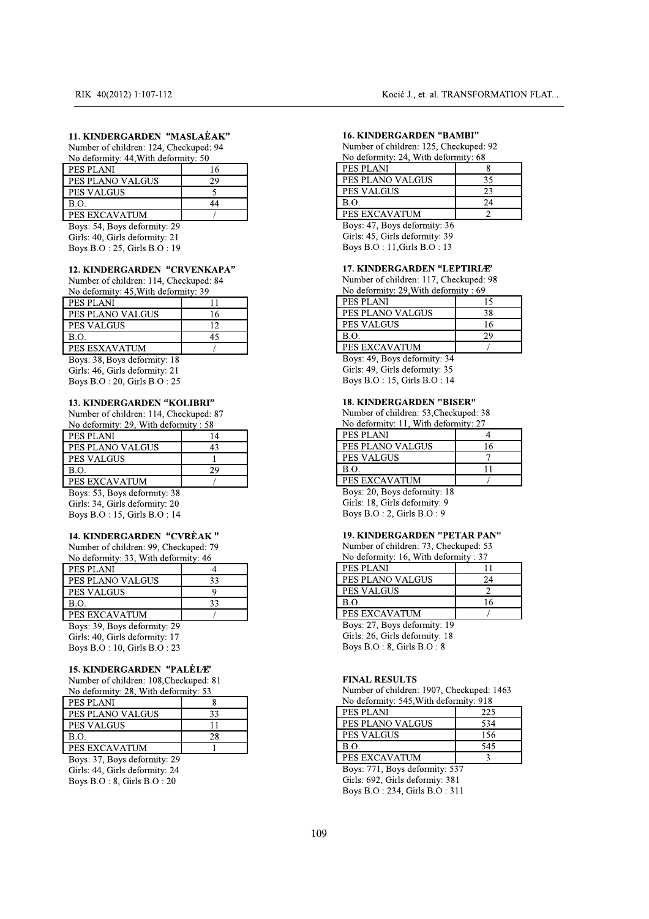| RIK 40(2012) 1:107-112                                                |    | Kocić J., et. al. TRANSE                                            |  |
|-----------------------------------------------------------------------|----|---------------------------------------------------------------------|--|
| 11. KINDERGARDEN "MASLAÈAK"<br>Number of children: 124, Checkuped: 94 |    | <b>16. KINDERGARDEN "BAMBI'</b><br>Number of children: 125, Checkup |  |
| No deformity: 44, With deformity: 50<br><b>PES PLANI</b>              | 16 | No deformity: 24, With deformity:<br>PES PLANI                      |  |
| PES PLANO VALGUS                                                      | 29 | PES PLANO VALGUS                                                    |  |
| <b>PES VALGUS</b>                                                     | 5  | <b>PES VALGUS</b>                                                   |  |
| B.O.                                                                  | 44 | B.O.                                                                |  |
| PES EXCAVATUM                                                         |    | PES EXCAVATUM                                                       |  |
| Boys: 54, Boys deformity: 29                                          |    | Boys: 47, Boys deformity: 36                                        |  |
| Girls: 40, Girls deformity: 21                                        |    | Girls: 45, Girls deformity: 39                                      |  |
| Boys B.O : 25, Girls B.O : 19                                         |    | Boys B.O: 11, Girls B.O: 13                                         |  |
| <b>12. KINDERGARDEN "CRVENKAPA"</b>                                   |    | <b>17. KINDERGARDEN "LEPTIF</b>                                     |  |
| Number of children: 114, Checkuped: 84                                |    | Number of children: 117, Checkup                                    |  |
| No deformity: 45, With deformity: 39                                  |    | No deformity: 29, With deformity:                                   |  |
| PES PLANI                                                             | 11 | <b>PES PLANI</b>                                                    |  |
| PES PLANO VALGUS                                                      | 16 | PES PLANO VALGUS                                                    |  |
| <b>PES VALGUS</b>                                                     | 12 | <b>PES VALGUS</b>                                                   |  |
| <b>B.O.</b>                                                           | 45 | B.O.                                                                |  |
|                                                                       |    | <b>BEO EXIGURISMENT</b>                                             |  |

| PES PLANI                              | 16 |
|----------------------------------------|----|
| PES PLANO VALGUS                       | 29 |
| <b>PES VALGUS</b>                      | 5  |
| B.O.                                   | 44 |
| <b>PES EXCAVATUM</b>                   |    |
| Boys: 54, Boys deformity: 29           |    |
| Girls: 40, Girls deformity: 21         |    |
| Boys B.O : 25, Girls B.O : 19          |    |
| <b>12. KINDERGARDEN "CRVENKAPA"</b>    |    |
| Number of children: 114, Checkuped: 84 |    |
| No deformity: 45, With deformity: 39   |    |
| PES PLANI                              | 11 |
| PES PLANO VALGUS                       | 16 |
| <b>PES VALGUS</b>                      | 12 |
| B.O.                                   | 45 |
| PES ESXAVATUM                          |    |
| Boys: 38, Boys deformity: 18           |    |
| Girls: 46, Girls deformity: 21         |    |
| Boys B.O : 20, Girls B.O : 25          |    |
| <b>13. KINDERGARDEN "KOLIBRI"</b>      |    |
| Number of children: 114, Checkuped: 87 |    |
| No deformity: 29, With deformity: 58   |    |
| PES PLANI                              | 14 |
| PES PLANO VALGUS                       | 43 |
| <b>PES VALGUS</b>                      | 1  |
| B.O.                                   | 29 |
| PES EXCAVATUM                          |    |
| Boys: 53, Boys deformity: 38           |    |
|                                        |    |

PES VALGUS<br>
B.O.<br>
45<br>
PES ESXAVATUM /<br>
Boys: 38, Boys deformity: 18<br>
Girls: 46, Girls deformity: 21<br>
Boys B.O : 20, Girls B.O : 25<br>
13. KINDERGARDEN "KOLIBRI"<br>
Number of children: 114, Checkuped: 87<br>
No deformity: 29, With PES VALGUS<br>
B.O.<br>
B.O.<br>
PES ESXAVATUM /<br>
Boys: 38, Boys deformity: 18<br>
Girls: 46, Girls deformity: 21<br>
Boys B.O : 20, Girls B.O : 25<br> **13. KINDERGARDEN "KOLIBRI"**<br>
Number of children: 114, Checkuped: 87<br>
No deformity: 29, S<br>
ATUM /<br>
45<br>
ATUM /<br>
ys deformity: 18<br>
distributed by: 21<br>
0, Girls B.O : 25<br>
RGARDEN "KOLIBRI"<br>
inildren: 114, Checkuped: 87<br>
7: 29, With deformity : 58<br>
14<br>
VALGUS 43<br>
12<br>
7S<br>
12<br>
29<br>
ATUM /<br>
ys deformity: 38<br>
distribu B.O.<br>
PES ESXAVATUM<br>
Boys: 38, Boys deformity: 18<br>
Girls: 46, Girls deformity: 21<br>
Boys B.O : 20, Girls B.O : 25<br> **13. KINDERGARDEN "KOLIBRI"**<br>
Number of children: 114, Checkuped:<br>
No deformity: 29, With deformity : 58<br>
PE B.O. 45<br>
PES ESXAVATUM /<br>
Boys: 38, Boys deformity: 18<br>
Girls: 46, Girls deformity: 21<br>
Boys B.O : 20, Girls B.O : 25<br> **13. KINDERGARDEN "KOLIBRI"**<br>
Number of children: 114, Checkuped: 87<br>
No deformity: 29, With deformity 45<br>
NATUM /<br>
Boys deformity: 18<br>
Girls deformity: 21<br>
: 20, Girls B.O : 25<br> **ERGARDEN "KOLIBRI"**<br>
f children: 114, Checkuped: 87<br>
Nity: 29, With deformity : 58<br>
NI<br>
NO VALGUS 43<br>
GUS 1<br>
29<br>
AVATUM /<br>
Boys deformity: 38<br>
Gi PES ESXAVATUM //<br>
Boys: 38, Boys deformity: 18<br>
Girls: 46, Girls deformity: 21<br>
Boys B.O : 20, Girls B.O : 25<br> **13. KINDERGARDEN "KOLIBRI"**<br>
Number of children: 114, Checkuped: 87<br>
No deformity: 29, With deformity : 58<br>
<u>P</u> Boys: 38, Boys deformity: 18<br>
Girls: 46, Girls deformity: 21<br>
Boys B.O : 20, Girls B.O : 25<br> **13. KINDERGARDEN "KOLIBRI"**<br>
Number of children: 114, Checkuped: 87<br>
No deformity: 29, With deformity : 58<br>
<u>PES PLANI</u><br>
<u>PES PL</u> Girls: 46, Girls deformity: 21<br>
Boys B.O : 20, Girls B.O : 25<br>
13. KINDERGARDEN "KOLIBRI"<br>
Number of children: 114, Checkuped: 87<br>
No deformity: 29, With deformity : 58<br>
PES PLANI<br>
PES PLANO VALGUS<br>
1<br>
B.O.<br>
29<br>
PES EXCAV Boys B.O : 20, Girls B.O : 25<br>
13. KINDERGARDEN "KOLIBRI"<br>
Number of children: 114, Checkuped: 87<br>
No deformity: 29, With deformity : 58<br>
PES PLANI<br>
14<br>
PES PLANO VALGUS<br>
1<br>
B.O.<br>
29<br>
PES EXCAVATUM<br>
Boys: 53, Boys deformi 13. KINDERGARDEN "KOLIBRI"<br>
Number of children: 114, Checkuped: 87<br>
No deformity: 29, With deformity : 58<br>
PES PLANI<br>
PES PLANO VALGUS<br>
1<br>
B.O.<br>
29<br>
PES EXCAVATUM<br>
Boys: 53, Boys deformity: 38<br>
Girls: 34, Girls deformity: 13. KINDERGARDEN "KO<br>
Number of children: 114, Che<br>
No deformity: 29, With deform<br>
PES PLANI<br>
PES PLANO VALGUS<br>
PES VALGUS<br>
B.O.<br>
PES EXCAVATUM<br>
Boys: 53, Boys deformity: 38<br>
Girls: 34, Girls deformity: 20<br>
Boys B.O : 15, 13. KINDERGARDEN "ROLIBRI"<br>
Number of children: 114, Checkuped: 87<br>
No deformity: 29, With deformity: 58<br>
PES PLANI 14<br>
PES PLANI 29<br>
BRICOVALGUS 43<br>
PES VALGUS 1<br>
B.O.<br>
29<br>
PES EXCAVATUM 7<br>
Boys: 53, Boys deformity: 38<br>
G **S. KINDERGARDEN "KOLIBRI"**<br>
(umber of children: 114, Checkuped: 87<br>
(o deformity: 29, With deformity : 58<br>
ES PLANI 14<br>
ES PLANO VALGUS 43<br>
ES VALGUS 1<br>
0.0.<br>
29<br>
ES EXCAVATUM /<br>
oys: 53, Boys deformity: 38<br>
tirls: 34, Gi

| B.O.          |  |
|---------------|--|
| PES EXCAVATUM |  |

| Number of children: 114, Checkuped: 87 |                |
|----------------------------------------|----------------|
| No deformity: 29, With deformity: 58   |                |
| PES PLANI                              | 14             |
| PES PLANO VALGUS                       | 43             |
| <b>PES VALGUS</b>                      | $\mathbf{1}$   |
| <b>B.O.</b>                            | 29             |
| <b>PES EXCAVATUM</b>                   |                |
| Boys: 53, Boys deformity: 38           |                |
| Girls: 34, Girls deformity: 20         |                |
| Boys B.O : 15, Girls B.O : 14          |                |
|                                        |                |
| 14. KINDERGARDEN "CVRÈAK"              |                |
| Number of children: 99, Checkuped: 79  |                |
| No deformity: 33, With deformity: 46   |                |
| PES PLANI                              | $\overline{4}$ |
| PES PLANO VALGUS                       | 33             |
| <b>PES VALGUS</b>                      | 9              |
| B.O.                                   | 33             |
| <b>PES EXCAVATUM</b>                   |                |
| Boys: 39, Boys deformity: 29           |                |
| Girls: 40, Girls deformity: 17         |                |
| Boys B.O : 10, Girls B.O : 23          |                |
|                                        |                |
| <b>15. KINDERGARDEN "PALÈLÆ"</b>       |                |
| Number of children: 108, Checkuped: 81 |                |
| No deformity: 28, With deformity: 53   |                |
| PES PLANI                              | 8              |
| PES PLANO VALGUS                       | 33             |
| <b>PES VALGUS</b>                      | 11             |
| <b>B.O.</b>                            | 28             |
| PES EXCAVATUM                          | 1              |
| Boys: 37, Boys deformity: 29           |                |
|                                        |                |

| Number of children: 108, Checkuped: 81 |
|----------------------------------------|
| No deformity: 28 With deformity: 53    |

| PES VALGUS                             | 9  |   |
|----------------------------------------|----|---|
| B.O.                                   | 33 |   |
| PES EXCAVATUM                          |    |   |
| Boys: 39, Boys deformity: 29           |    |   |
| Girls: 40, Girls deformity: 17         |    |   |
| Boys B.O : 10, Girls B.O : 23          |    |   |
| <b>15. KINDERGARDEN "PALÈLÆ"</b>       |    |   |
| Number of children: 108, Checkuped: 81 |    |   |
| No deformity: 28, With deformity: 53   |    |   |
| PES PLANI                              | 8  |   |
| PES PLANO VALGUS                       | 33 |   |
| <b>PES VALGUS</b>                      | 11 |   |
| <b>B.O.</b>                            | 28 |   |
| PES EXCAVATUM                          | 1  |   |
| Boys: 37, Boys deformity: 29           |    |   |
| Girls: 44, Girls deformity: 24         |    |   |
| Boys B.O: 8, Girls B.O: 20             |    |   |
|                                        |    |   |
|                                        |    |   |
|                                        |    |   |
|                                        |    | 1 |
|                                        |    |   |
|                                        |    |   |
|                                        |    |   |
|                                        |    |   |
|                                        |    |   |
|                                        |    |   |
|                                        |    |   |

|                   | Kocić J., et. al. TRANSFORMATION FLAT  |                |  |
|-------------------|----------------------------------------|----------------|--|
|                   |                                        |                |  |
|                   |                                        |                |  |
|                   | <b>16. KINDERGARDEN "BAMBI"</b>        |                |  |
|                   | Number of children: 125, Checkuped: 92 |                |  |
|                   | No deformity: 24, With deformity: 68   |                |  |
| PES PLANI         |                                        | 8              |  |
|                   | PES PLANO VALGUS                       | 35             |  |
| <b>PES VALGUS</b> |                                        | 23             |  |
| B.O.              |                                        | 24             |  |
|                   | PES EXCAVATUM                          | $\overline{2}$ |  |
|                   | Boys: 47, Boys deformity: 36           |                |  |
|                   | Girls: 45, Girls deformity: 39         |                |  |
|                   | Boys B.O: 11, Girls B.O: 13            |                |  |
|                   |                                        |                |  |
|                   | <b>17. KINDERGARDEN "LEPTIRIÆ"</b>     |                |  |
|                   | Number of children: 117, Checkuped: 98 |                |  |
|                   | No deformity: 29, With deformity: 69   |                |  |
| <b>PES PLANI</b>  |                                        | 15             |  |
|                   | PES PLANO VALGUS                       | 38             |  |
| <b>PES VALGUS</b> |                                        | 16             |  |
| B.O.              |                                        | 29             |  |
|                   | PES EXCAVATUM                          |                |  |

| PES PLANO VALGUS                       | 35             |
|----------------------------------------|----------------|
| <b>PES VALGUS</b>                      | 23             |
| <b>B.O.</b>                            | 24             |
| PES EXCAVATUM                          | $\overline{2}$ |
| Boys: 47, Boys deformity: 36           |                |
| Girls: 45, Girls deformity: 39         |                |
| Boys B.O : 11, Girls B.O : 13          |                |
| 17. KINDERGARDEN "LEPTIRIÆ"            |                |
| Number of children: 117, Checkuped: 98 |                |
| No deformity: 29, With deformity: 69   |                |
| PES PLANI                              | 15             |
| PES PLANO VALGUS                       | 38             |
| <b>PES VALGUS</b>                      | 16             |
| B.O.                                   | 29             |
| PES EXCAVATUM                          |                |
| Boys: 49, Boys deformity: 34           |                |
| Girls: 49, Girls deformity: 35         |                |
| Boys B.O : 15, Girls B.O : 14          |                |
|                                        |                |
| 18. KINDERGARDEN "BISER"               |                |
| Number of children: 53, Checkuped: 38  |                |
| No deformity: 11, With deformity: 27   |                |
| PES PLANI                              | 4              |
| PES PLANO VALGUS                       | 16             |
| <b>PES VALGUS</b>                      | 7              |
| B.O.                                   | 11             |
| PES EXCAVATUM                          |                |
|                                        |                |

| PES PLANO VALGUS                      | 38             |
|---------------------------------------|----------------|
| <b>PES VALGUS</b>                     | 16             |
| B.O.                                  | 29             |
| PES EXCAVATUM                         |                |
| Boys: 49, Boys deformity: 34          |                |
| Girls: 49, Girls deformity: 35        |                |
| Boys B.O : 15, Girls B.O : 14         |                |
| <b>18. KINDERGARDEN "BISER"</b>       |                |
| Number of children: 53, Checkuped: 38 |                |
| No deformity: 11, With deformity: 27  |                |
| PES PLANI                             | $\overline{4}$ |
| PES PLANO VALGUS                      | 16             |
| <b>PES VALGUS</b>                     | 7              |
| <b>B.O.</b>                           | 11             |
| <b>PES EXCAVATUM</b>                  |                |
| Boys: 20, Boys deformity: 18          |                |
| Girls: 18, Girls deformity: 9         |                |
| Boys B.O : 2, Girls B.O : 9           |                |
| <b>19. KINDERGARDEN "PETAR PAN"</b>   |                |
| Number of children: 73, Checkuped: 53 |                |
| No deformity: 16, With deformity: 37  |                |
| PES PLANI                             | 11             |
| PES PLANO VALGUS                      | 24             |
| <b>PES VALGUS</b>                     | $\overline{c}$ |
| B.O.                                  | 16             |
|                                       |                |

| PES PLANI                                 | 4              |
|-------------------------------------------|----------------|
| PES PLANO VALGUS                          | 16             |
| <b>PES VALGUS</b>                         | $\overline{7}$ |
| B.O.                                      | 11             |
| PES EXCAVATUM                             |                |
| Boys: 20, Boys deformity: 18              |                |
| Girls: 18, Girls deformity: 9             |                |
| Boys B.O : 2, Girls B.O : 9               |                |
| <b>19. KINDERGARDEN "PETAR PAN"</b>       |                |
| Number of children: 73, Checkuped: 53     |                |
| No deformity: 16, With deformity: 37      |                |
| PES PLANI                                 | 11             |
| PES PLANO VALGUS                          | 24             |
| <b>PES VALGUS</b>                         | $\overline{2}$ |
| <b>B.O.</b>                               | 16             |
| <b>PES EXCAVATUM</b>                      |                |
| Boys: 27, Boys deformity: 19              |                |
| Girls: 26, Girls deformity: 18            |                |
| Boys B.O : 8, Girls B.O : 8               |                |
|                                           |                |
| <b>FINAL RESULTS</b>                      |                |
| Number of children: 1907, Checkuped: 1463 |                |
| No deformity: 545, With deformity: 918    |                |
| <b>PES PLANI</b>                          | 225            |
| PES PLANO VALGUS                          | 534            |
| <b>PES VALGUS</b>                         | 156            |
| <b>B.O.</b>                               | 545            |
|                                           |                |

| 16<br>33<br>B.O.<br>PES EXCAVATUM<br>$\sqrt{ }$<br>Boys: 27, Boys deformity: 19<br>Girls: 26, Girls deformity: 18<br>Boys B.O : 8, Girls B.O : 8<br>Ŝ,<br><b>FINAL RESULTS</b><br>:81<br>Number of children: 1907, Checkuped: 1463<br>$\overline{\mathbf{3}}$<br>No deformity: 545, With deformity: 918<br>$\overline{8}$<br>PES PLANI<br>225<br>33<br>PES PLANO VALGUS<br>534<br>11<br><b>PES VALGUS</b><br>156<br>28<br>B.O.<br>545<br>$\mathbf{1}$<br>PES EXCAVATUM<br>3<br>Boys: 771, Boys deformity: 537<br>Girls: 692, Girls deformiy: 381<br>Boys B.O: 234, Girls B.O: 311<br>109 |  |  | PES VALGUS | 2 |
|------------------------------------------------------------------------------------------------------------------------------------------------------------------------------------------------------------------------------------------------------------------------------------------------------------------------------------------------------------------------------------------------------------------------------------------------------------------------------------------------------------------------------------------------------------------------------------------|--|--|------------|---|
|                                                                                                                                                                                                                                                                                                                                                                                                                                                                                                                                                                                          |  |  |            |   |
|                                                                                                                                                                                                                                                                                                                                                                                                                                                                                                                                                                                          |  |  |            |   |
|                                                                                                                                                                                                                                                                                                                                                                                                                                                                                                                                                                                          |  |  |            |   |
|                                                                                                                                                                                                                                                                                                                                                                                                                                                                                                                                                                                          |  |  |            |   |
|                                                                                                                                                                                                                                                                                                                                                                                                                                                                                                                                                                                          |  |  |            |   |
|                                                                                                                                                                                                                                                                                                                                                                                                                                                                                                                                                                                          |  |  |            |   |
|                                                                                                                                                                                                                                                                                                                                                                                                                                                                                                                                                                                          |  |  |            |   |
|                                                                                                                                                                                                                                                                                                                                                                                                                                                                                                                                                                                          |  |  |            |   |
|                                                                                                                                                                                                                                                                                                                                                                                                                                                                                                                                                                                          |  |  |            |   |
|                                                                                                                                                                                                                                                                                                                                                                                                                                                                                                                                                                                          |  |  |            |   |
|                                                                                                                                                                                                                                                                                                                                                                                                                                                                                                                                                                                          |  |  |            |   |
|                                                                                                                                                                                                                                                                                                                                                                                                                                                                                                                                                                                          |  |  |            |   |
|                                                                                                                                                                                                                                                                                                                                                                                                                                                                                                                                                                                          |  |  |            |   |
|                                                                                                                                                                                                                                                                                                                                                                                                                                                                                                                                                                                          |  |  |            |   |
|                                                                                                                                                                                                                                                                                                                                                                                                                                                                                                                                                                                          |  |  |            |   |
|                                                                                                                                                                                                                                                                                                                                                                                                                                                                                                                                                                                          |  |  |            |   |
|                                                                                                                                                                                                                                                                                                                                                                                                                                                                                                                                                                                          |  |  |            |   |
|                                                                                                                                                                                                                                                                                                                                                                                                                                                                                                                                                                                          |  |  |            |   |
|                                                                                                                                                                                                                                                                                                                                                                                                                                                                                                                                                                                          |  |  |            |   |
|                                                                                                                                                                                                                                                                                                                                                                                                                                                                                                                                                                                          |  |  |            |   |
|                                                                                                                                                                                                                                                                                                                                                                                                                                                                                                                                                                                          |  |  |            |   |
|                                                                                                                                                                                                                                                                                                                                                                                                                                                                                                                                                                                          |  |  |            |   |
|                                                                                                                                                                                                                                                                                                                                                                                                                                                                                                                                                                                          |  |  |            |   |
|                                                                                                                                                                                                                                                                                                                                                                                                                                                                                                                                                                                          |  |  |            |   |
|                                                                                                                                                                                                                                                                                                                                                                                                                                                                                                                                                                                          |  |  |            |   |
|                                                                                                                                                                                                                                                                                                                                                                                                                                                                                                                                                                                          |  |  |            |   |
|                                                                                                                                                                                                                                                                                                                                                                                                                                                                                                                                                                                          |  |  |            |   |
|                                                                                                                                                                                                                                                                                                                                                                                                                                                                                                                                                                                          |  |  |            |   |
|                                                                                                                                                                                                                                                                                                                                                                                                                                                                                                                                                                                          |  |  |            |   |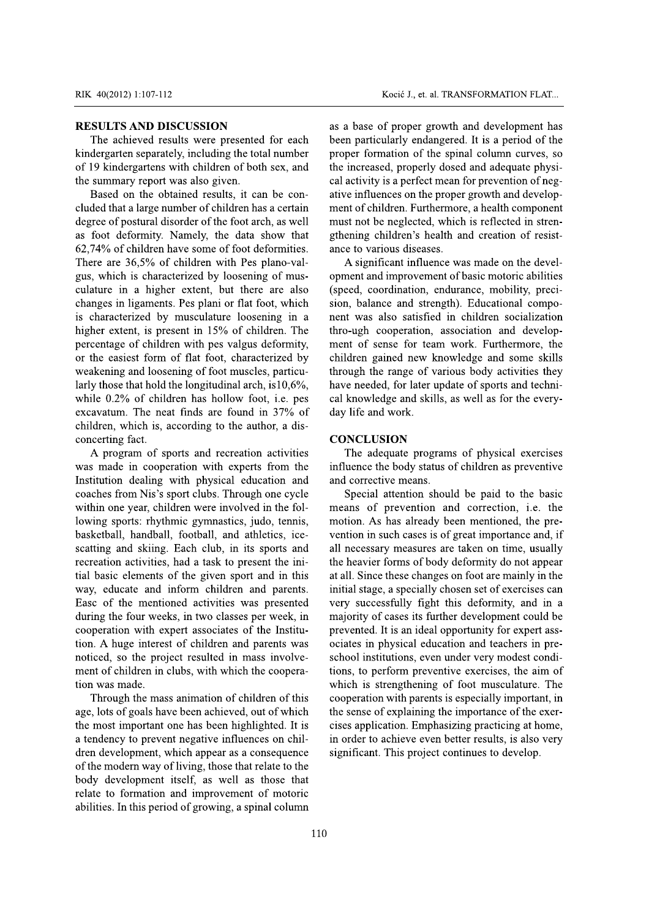## **RESULTS AND DISCUSSION**

The achieved results were presented for each kindergarten separately, including the total number of 19 kindergartens with children of both sex, and the summary report was also given.

Based on the obtained results, it can be concluded that a large number of children has a certain degree of postural disorder of the foot arch, as well as foot deformity. Namely, the data show that 62,74% of children have some of foot deformities. There are 36.5% of children with Pes plano-valgus, which is characterized by loosening of musculature in a higher extent, but there are also changes in ligaments. Pes plani or flat foot, which is characterized by musculature loosening in a higher extent, is present in 15% of children. The percentage of children with pes valgus deformity, or the easiest form of flat foot, characterized by weakening and loosening of foot muscles, particularly those that hold the longitudinal arch, is  $10,6\%$ , while 0.2% of children has hollow foot, i.e. pes excavatum. The neat finds are found in 37% of children, which is, according to the author, a disconcerting fact.

A program of sports and recreation activities was made in cooperation with experts from the Institution dealing with physical education and coaches from Nis's sport clubs. Through one cycle within one year, children were involved in the following sports: rhythmic gymnastics, judo, tennis, basketball, handball, football, and athletics, icescatting and skiing. Each club, in its sports and recreation activities, had a task to present the initial basic elements of the given sport and in this way, educate and inform children and parents. Easc of the mentioned activities was presented during the four weeks, in two classes per week, in cooperation with expert associates of the Institution. A huge interest of children and parents was noticed, so the project resulted in mass involvement of children in clubs, with which the cooperation was made.

Through the mass animation of children of this age, lots of goals have been achieved, out of which the most important one has been highlighted. It is a tendency to prevent negative influences on children development, which appear as a consequence of the modern way of living, those that relate to the body development itself, as well as those that relate to formation and improvement of motoric abilities. In this period of growing, a spinal column as a base of proper growth and development has been particularly endangered. It is a period of the proper formation of the spinal column curves, so the increased, properly dosed and adequate physical activity is a perfect mean for prevention of negative influences on the proper growth and development of children. Furthermore, a health component must not be neglected, which is reflected in strengthening children's health and creation of resistance to various diseases.

A significant influence was made on the development and improvement of basic motoric abilities (speed, coordination, endurance, mobility, precision, balance and strength). Educational component was also satisfied in children socialization thro-ugh cooperation, association and development of sense for team work. Furthermore, the children gained new knowledge and some skills through the range of various body activities they have needed, for later update of sports and technical knowledge and skills, as well as for the everyday life and work.

### **CONCLUSION**

The adequate programs of physical exercises influence the body status of children as preventive and corrective means.

Special attention should be paid to the basic means of prevention and correction, i.e. the motion. As has already been mentioned, the prevention in such cases is of great importance and, if all necessary measures are taken on time, usually the heavier forms of body deformity do not appear at all. Since these changes on foot are mainly in the initial stage, a specially chosen set of exercises can very successfully fight this deformity, and in a majority of cases its further development could be prevented. It is an ideal opportunity for expert associates in physical education and teachers in preschool institutions, even under very modest conditions, to perform preventive exercises, the aim of which is strengthening of foot musculature. The cooperation with parents is especially important, in the sense of explaining the importance of the exercises application. Emphasizing practicing at home, in order to achieve even better results, is also very significant. This project continues to develop.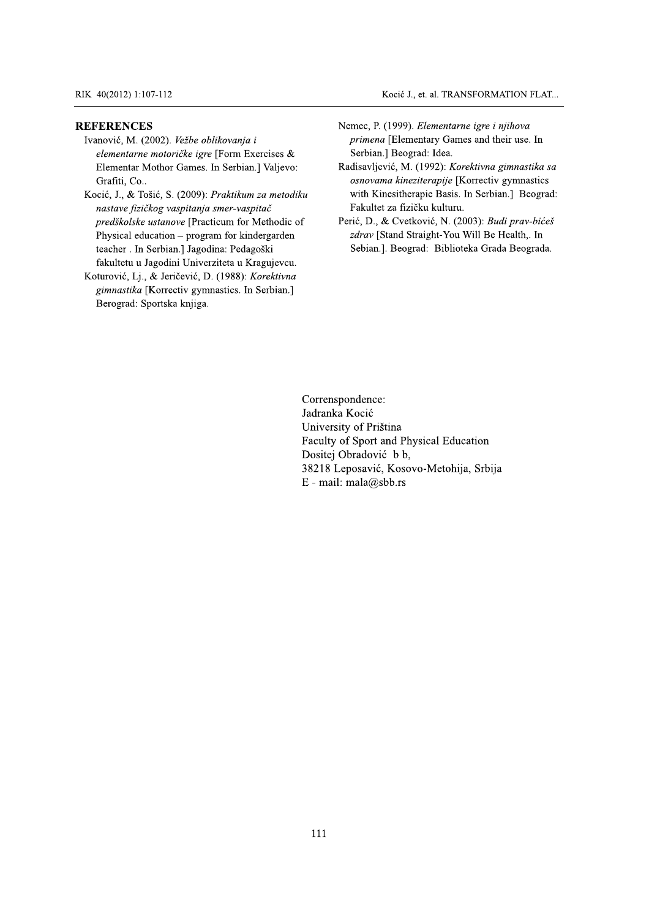### Kocić J., et. al. TRANSFORMATION FLAT...

### **REFERENCES**

Ivanović, M. (2002). Vežbe oblikovanja i elementarne motoričke igre [Form Exercises & Elementar Mothor Games. In Serbian.] Valjevo: Grafiti, Co..

Kocić, J., & Tošić, S. (2009): Praktikum za metodiku nastave fizičkog vaspitanja smer-vaspitač predškolske ustanove [Practicum for Methodic of Physical education – program for kindergarden teacher . In Serbian.] Jagodina: Pedagoški fakultetu u Jagodini Univerziteta u Kragujevcu.

Koturović, Lj., & Jeričević, D. (1988): Korektivna gimnastika [Korrectiv gymnastics. In Serbian.] Berograd: Sportska knjiga.

- Nemec, P. (1999). Elementarne igre i njihova primena [Elementary Games and their use. In Serbian.] Beograd: Idea.
- Radisavljević, M. (1992): Korektivna gimnastika sa osnovama kineziterapije [Korrectiv gymnastics with Kinesitherapie Basis. In Serbian.] Beograd: Fakultet za fizičku kulturu.
- Perić, D., & Cvetković, N. (2003): Budi prav-bićeš zdrav [Stand Straight-You Will Be Health,. In Sebian.]. Beograd: Biblioteka Grada Beograda.

Correnspondence: Jadranka Kocić University of Priština Faculty of Sport and Physical Education Dositej Obradović b b, 38218 Leposavić, Kosovo-Metohija, Srbija E - mail: mala@sbb.rs